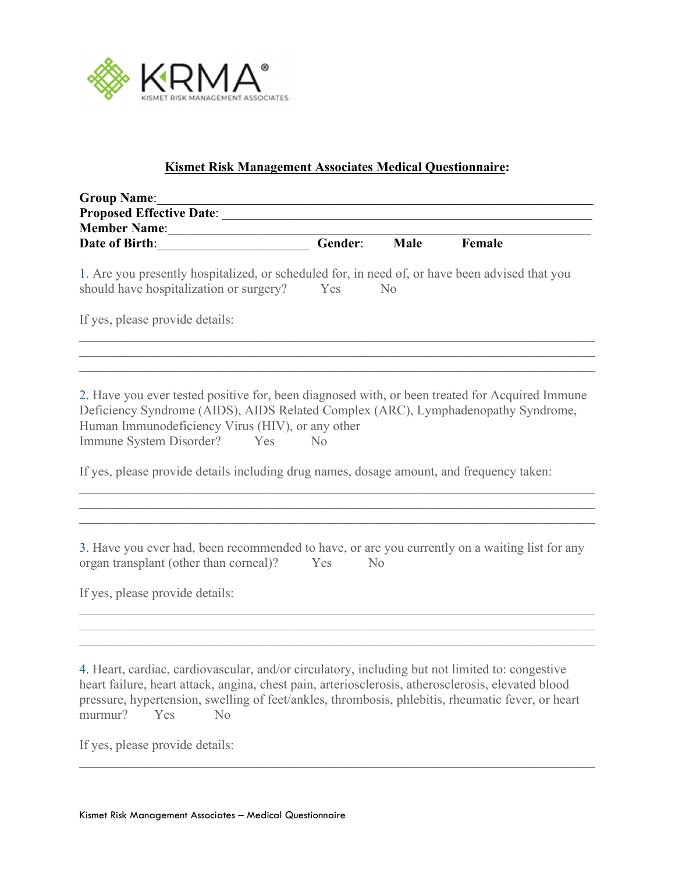

## **Kismet Risk Management Associates Medical Questionnaire:**

| <b>Group Name:</b>                                                                                                                                                                                                                                                                                                                             |         |                |        |  |
|------------------------------------------------------------------------------------------------------------------------------------------------------------------------------------------------------------------------------------------------------------------------------------------------------------------------------------------------|---------|----------------|--------|--|
| <b>Proposed Effective Date:</b>                                                                                                                                                                                                                                                                                                                |         |                |        |  |
| <b>Member Name:</b>                                                                                                                                                                                                                                                                                                                            |         |                |        |  |
| Date of Birth:                                                                                                                                                                                                                                                                                                                                 | Gender: | Male           | Female |  |
| 1. Are you presently hospitalized, or scheduled for, in need of, or have been advised that you<br>should have hospitalization or surgery?                                                                                                                                                                                                      | Yes     | N <sub>o</sub> |        |  |
| If yes, please provide details:                                                                                                                                                                                                                                                                                                                |         |                |        |  |
| 2. Have you ever tested positive for, been diagnosed with, or been treated for Acquired Immune<br>Deficiency Syndrome (AIDS), AIDS Related Complex (ARC), Lymphadenopathy Syndrome,<br>Human Immunodeficiency Virus (HIV), or any other<br>Immune System Disorder?<br>Yes                                                                      | No      |                |        |  |
| If yes, please provide details including drug names, dosage amount, and frequency taken:                                                                                                                                                                                                                                                       |         |                |        |  |
| 3. Have you ever had, been recommended to have, or are you currently on a waiting list for any<br>organ transplant (other than corneal)?                                                                                                                                                                                                       | Yes     | N <sub>o</sub> |        |  |
| If yes, please provide details:                                                                                                                                                                                                                                                                                                                |         |                |        |  |
|                                                                                                                                                                                                                                                                                                                                                |         |                |        |  |
| 4. Heart, cardiac, cardiovascular, and/or circulatory, including but not limited to: congestive<br>heart failure, heart attack, angina, chest pain, arteriosclerosis, atherosclerosis, elevated blood<br>pressure, hypertension, swelling of feet/ankles, thrombosis, phlebitis, rheumatic fever, or heart<br>murmur?<br>Yes<br>N <sub>o</sub> |         |                |        |  |

If yes, please provide details: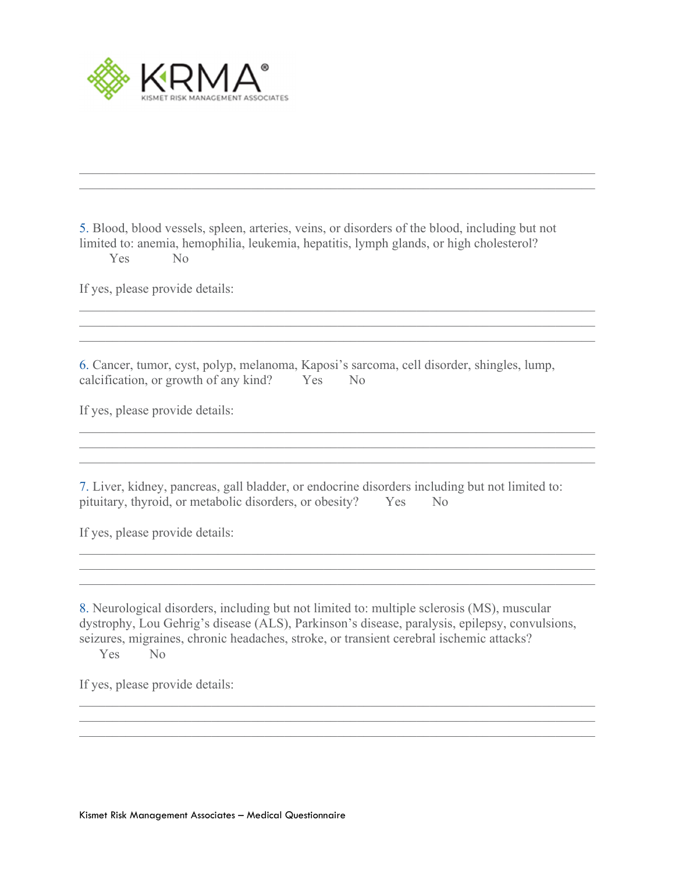

5. Blood, blood vessels, spleen, arteries, veins, or disorders of the blood, including but not limited to: anemia, hemophilia, leukemia, hepatitis, lymph glands, or high cholesterol? Yes No

If yes, please provide details:

6. Cancer, tumor, cyst, polyp, melanoma, Kaposi's sarcoma, cell disorder, shingles, lump, calcification, or growth of any kind? Yes No

If yes, please provide details:

7. Liver, kidney, pancreas, gall bladder, or endocrine disorders including but not limited to: pituitary, thyroid, or metabolic disorders, or obesity? Yes No

If yes, please provide details:

8. Neurological disorders, including but not limited to: multiple sclerosis (MS), muscular dystrophy, Lou Gehrig's disease (ALS), Parkinson's disease, paralysis, epilepsy, convulsions, seizures, migraines, chronic headaches, stroke, or transient cerebral ischemic attacks?

Yes No

If yes, please provide details: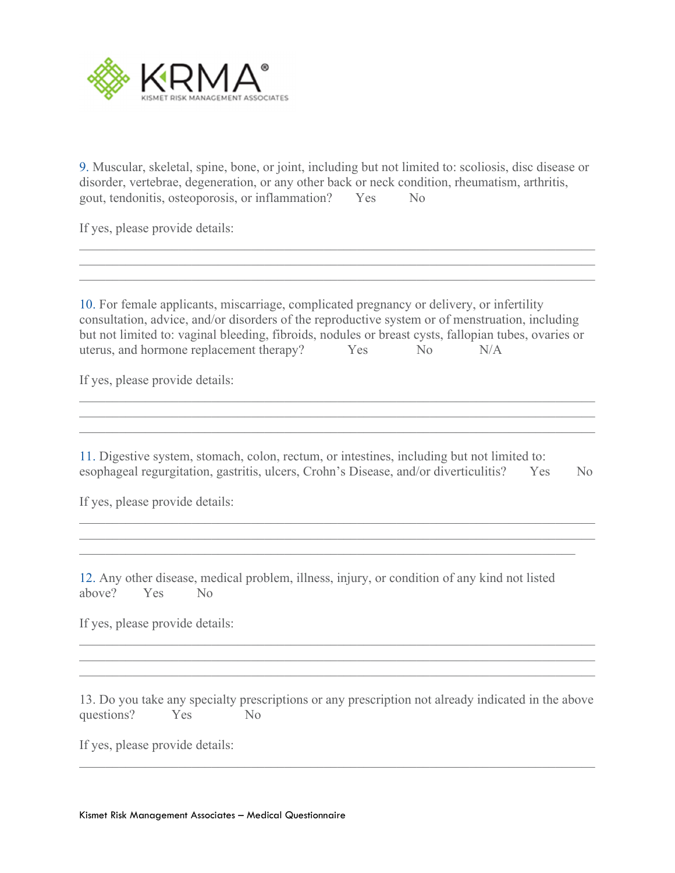

9. Muscular, skeletal, spine, bone, or joint, including but not limited to: scoliosis, disc disease or disorder, vertebrae, degeneration, or any other back or neck condition, rheumatism, arthritis, gout, tendonitis, osteoporosis, or inflammation? Yes No

If yes, please provide details:

10. For female applicants, miscarriage, complicated pregnancy or delivery, or infertility consultation, advice, and/or disorders of the reproductive system or of menstruation, including but not limited to: vaginal bleeding, fibroids, nodules or breast cysts, fallopian tubes, ovaries or uterus, and hormone replacement therapy? Yes No N/A

If yes, please provide details:

11. Digestive system, stomach, colon, rectum, or intestines, including but not limited to: esophageal regurgitation, gastritis, ulcers, Crohn's Disease, and/or diverticulitis? Yes No

If yes, please provide details:

12. Any other disease, medical problem, illness, injury, or condition of any kind not listed above? Yes No

If yes, please provide details:

13. Do you take any specialty prescriptions or any prescription not already indicated in the above questions? Yes No

If yes, please provide details: